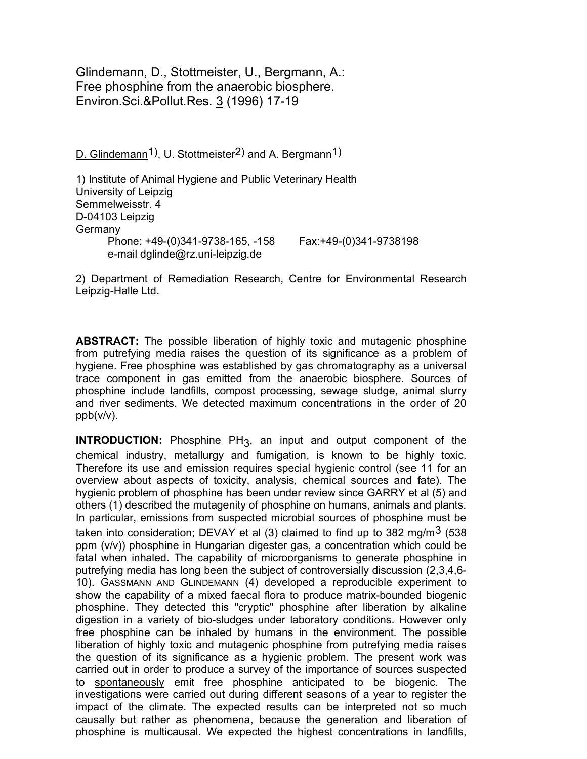Glindemann, D., Stottmeister, U., Bergmann, A.: Free phosphine from the anaerobic biosphere. Environ.Sci.&Pollut.Res. 3 (1996) 17-19

D. Glindemann<sup>1</sup>), U. Stottmeister<sup>2</sup>) and A. Bergmann<sup>1</sup>)

1) Institute of Animal Hygiene and Public Veterinary Health University of Leipzig Semmelweisstr. 4 D-04103 Leipzig **Germany**  Phone: +49-(0)341-9738-165, -158 Fax:+49-(0)341-9738198 e-mail dglinde@rz.uni-leipzig.de

2) Department of Remediation Research, Centre for Environmental Research Leipzig-Halle Ltd.

**ABSTRACT:** The possible liberation of highly toxic and mutagenic phosphine from putrefying media raises the question of its significance as a problem of hygiene. Free phosphine was established by gas chromatography as a universal trace component in gas emitted from the anaerobic biosphere. Sources of phosphine include landfills, compost processing, sewage sludge, animal slurry and river sediments. We detected maximum concentrations in the order of 20 ppb(v/v).

**INTRODUCTION:** Phosphine PH<sub>3</sub>, an input and output component of the chemical industry, metallurgy and fumigation, is known to be highly toxic. Therefore its use and emission requires special hygienic control (see 11 for an overview about aspects of toxicity, analysis, chemical sources and fate). The hygienic problem of phosphine has been under review since GARRY et al (5) and others (1) described the mutagenity of phosphine on humans, animals and plants. In particular, emissions from suspected microbial sources of phosphine must be taken into consideration; DEVAY et al  $(3)$  claimed to find up to 382 mg/m<sup>3</sup> (538 ppm (v/v)) phosphine in Hungarian digester gas, a concentration which could be fatal when inhaled. The capability of microorganisms to generate phosphine in putrefying media has long been the subject of controversially discussion (2,3,4,6- 10). GASSMANN AND GLINDEMANN (4) developed a reproducible experiment to show the capability of a mixed faecal flora to produce matrix-bounded biogenic phosphine. They detected this "cryptic" phosphine after liberation by alkaline digestion in a variety of bio-sludges under laboratory conditions. However only free phosphine can be inhaled by humans in the environment. The possible liberation of highly toxic and mutagenic phosphine from putrefying media raises the question of its significance as a hygienic problem. The present work was carried out in order to produce a survey of the importance of sources suspected to spontaneously emit free phosphine anticipated to be biogenic. The investigations were carried out during different seasons of a year to register the impact of the climate. The expected results can be interpreted not so much causally but rather as phenomena, because the generation and liberation of phosphine is multicausal. We expected the highest concentrations in landfills,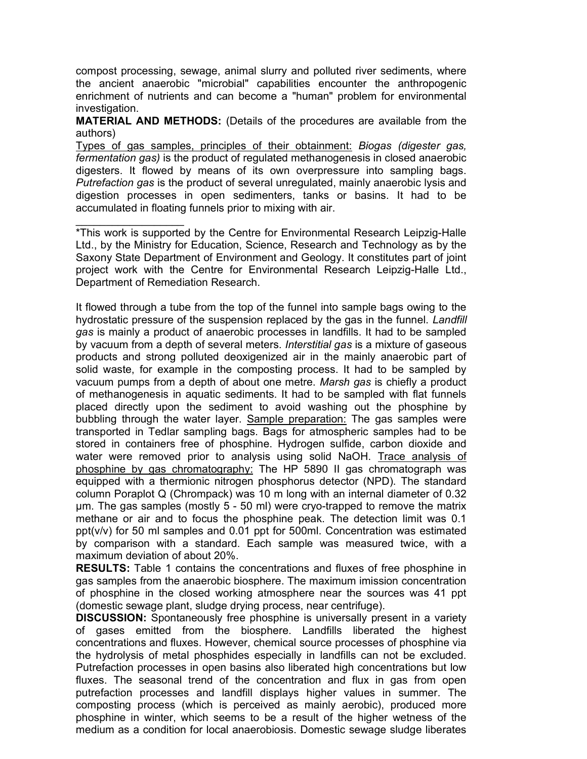compost processing, sewage, animal slurry and polluted river sediments, where the ancient anaerobic "microbial" capabilities encounter the anthropogenic enrichment of nutrients and can become a "human" problem for environmental investigation.

MATERIAL AND METHODS: (Details of the procedures are available from the authors)

Types of gas samples, principles of their obtainment: Biogas (digester gas, fermentation gas) is the product of regulated methanogenesis in closed anaerobic digesters. It flowed by means of its own overpressure into sampling bags. Putrefaction gas is the product of several unregulated, mainly anaerobic lysis and digestion processes in open sedimenters, tanks or basins. It had to be accumulated in floating funnels prior to mixing with air.

\*This work is supported by the Centre for Environmental Research Leipzig-Halle Ltd., by the Ministry for Education, Science, Research and Technology as by the Saxony State Department of Environment and Geology. It constitutes part of joint project work with the Centre for Environmental Research Leipzig-Halle Ltd., Department of Remediation Research.

 $\overline{\phantom{a}}$  , and the set of the set of the set of the set of the set of the set of the set of the set of the set of the set of the set of the set of the set of the set of the set of the set of the set of the set of the s

It flowed through a tube from the top of the funnel into sample bags owing to the hydrostatic pressure of the suspension replaced by the gas in the funnel. Landfill gas is mainly a product of anaerobic processes in landfills. It had to be sampled by vacuum from a depth of several meters. Interstitial gas is a mixture of gaseous products and strong polluted deoxigenized air in the mainly anaerobic part of solid waste, for example in the composting process. It had to be sampled by vacuum pumps from a depth of about one metre. Marsh gas is chiefly a product of methanogenesis in aquatic sediments. It had to be sampled with flat funnels placed directly upon the sediment to avoid washing out the phosphine by bubbling through the water layer. Sample preparation: The gas samples were transported in Tedlar sampling bags. Bags for atmospheric samples had to be stored in containers free of phosphine. Hydrogen sulfide, carbon dioxide and water were removed prior to analysis using solid NaOH. Trace analysis of phosphine by gas chromatography: The HP 5890 II gas chromatograph was equipped with a thermionic nitrogen phosphorus detector (NPD). The standard column Poraplot Q (Chrompack) was 10 m long with an internal diameter of 0.32 µm. The gas samples (mostly 5 - 50 ml) were cryo-trapped to remove the matrix methane or air and to focus the phosphine peak. The detection limit was 0.1 ppt(v/v) for 50 ml samples and 0.01 ppt for 500ml. Concentration was estimated by comparison with a standard. Each sample was measured twice, with a maximum deviation of about 20%.

RESULTS: Table 1 contains the concentrations and fluxes of free phosphine in gas samples from the anaerobic biosphere. The maximum imission concentration of phosphine in the closed working atmosphere near the sources was 41 ppt (domestic sewage plant, sludge drying process, near centrifuge).

DISCUSSION: Spontaneously free phosphine is universally present in a variety of gases emitted from the biosphere. Landfills liberated the highest concentrations and fluxes. However, chemical source processes of phosphine via the hydrolysis of metal phosphides especially in landfills can not be excluded. Putrefaction processes in open basins also liberated high concentrations but low fluxes. The seasonal trend of the concentration and flux in gas from open putrefaction processes and landfill displays higher values in summer. The composting process (which is perceived as mainly aerobic), produced more phosphine in winter, which seems to be a result of the higher wetness of the medium as a condition for local anaerobiosis. Domestic sewage sludge liberates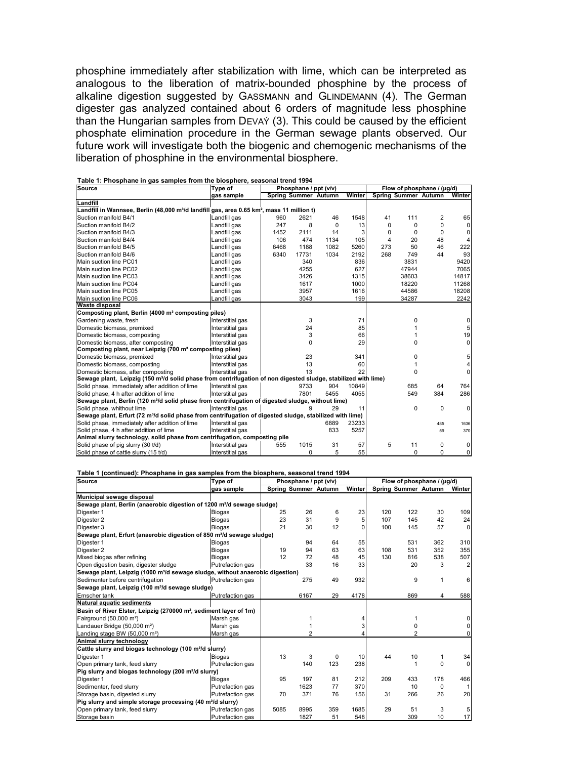phosphine immediately after stabilization with lime, which can be interpreted as analogous to the liberation of matrix-bounded phosphine by the process of alkaline digestion suggested by GASSMANN and GLINDEMANN (4). The German digester gas analyzed contained about 6 orders of magnitude less phosphine than the Hungarian samples from DEVAÝ (3). This could be caused by the efficient phosphate elimination procedure in the German sewage plants observed. Our future work will investigate both the biogenic and chemogenic mechanisms of the liberation of phosphine in the environmental biosphere.

| rable 1. Phosphane in gas samples nom the biosphere, seasonal trend 1994<br>Source                                         | Type of          | Phosphane / ppt (v/v) |                             |      |        | Flow of phosphane / (µg/d) |                      |          |                |
|----------------------------------------------------------------------------------------------------------------------------|------------------|-----------------------|-----------------------------|------|--------|----------------------------|----------------------|----------|----------------|
|                                                                                                                            | gas sample       |                       | <b>Spring Summer Autumn</b> |      | Winter |                            | Spring Summer Autumn |          | Winter         |
| Landfill                                                                                                                   |                  |                       |                             |      |        |                            |                      |          |                |
| Landfill in Wannsee, Berlin (48,000 m <sup>3</sup> /d landfill gas, area 0.65 km <sup>2</sup> , mass 11 million t)         |                  |                       |                             |      |        |                            |                      |          |                |
| Suction manifold B4/1                                                                                                      | Landfill gas     | 960                   | 2621                        | 46   | 1548   | 41                         | 111                  | 2        | 65             |
| Suction manifold B4/2                                                                                                      | Landfill gas     | 247                   | 8                           | 0    | 13     | 0                          | $\Omega$             | 0        | $\Omega$       |
| Suction manifold B4/3                                                                                                      | Landfill gas     | 1452                  | 2111                        | 14   | 3      | 0                          | 0                    | 0        |                |
| Suction manifold B4/4                                                                                                      | Landfill gas     | 106                   | 474                         | 1134 | 105    | 4                          | 20                   | 48       |                |
| Suction manifold B4/5                                                                                                      | Landfill gas     | 6468                  | 1188                        | 1082 | 5260   | 273                        | 50                   | 46       | 222            |
| Suction manifold B4/6                                                                                                      | Landfill gas     | 6340                  | 17731                       | 1034 | 2192   | 268                        | 749                  | 44       | 93             |
| Main suction line PC01                                                                                                     | Landfill gas     |                       | 340                         |      | 836    |                            | 3831                 |          | 9420           |
| Main suction line PC02                                                                                                     | Landfill gas     |                       | 4255                        |      | 627    |                            | 47944                |          | 7065           |
| Main suction line PC03                                                                                                     | Landfill gas     |                       | 3426                        |      | 1315   |                            | 38603                |          | 14817          |
| Main suction line PC04                                                                                                     | Landfill gas     |                       | 1617                        |      | 1000   |                            | 18220                |          | 11268          |
| Main suction line PC05                                                                                                     | Landfill gas     |                       | 3957                        |      | 1616   |                            | 44586                |          | 18208          |
| Main suction line PC06                                                                                                     | Landfill gas     |                       | 3043                        |      | 199    |                            | 34287                |          | 2242           |
| Waste disposal                                                                                                             |                  |                       |                             |      |        |                            |                      |          |                |
| Composting plant, Berlin (4000 m <sup>3</sup> composting piles)                                                            |                  |                       |                             |      |        |                            |                      |          |                |
| Gardening waste, fresh                                                                                                     | Interstitial gas |                       | 3                           |      | 71     |                            | O                    |          |                |
| Domestic biomass, premixed                                                                                                 | Interstitial gas |                       | 24                          |      | 85     |                            |                      |          |                |
| Domestic biomass, composting                                                                                               | Interstitial gas |                       | 3                           |      | 66     |                            |                      |          | 19             |
| Domestic biomass, after composting                                                                                         | Interstitial gas |                       | 0                           |      | 29     |                            | 0                    |          | 0              |
| Composting plant, near Leipzig (700 m <sup>3</sup> composting piles)                                                       |                  |                       |                             |      |        |                            |                      |          |                |
| Domestic biomass, premixed                                                                                                 | Interstitial gas |                       | 23                          |      | 341    |                            | O                    |          |                |
| Domestic biomass, composting                                                                                               | Interstitial gas |                       | 13                          |      | 60     |                            |                      |          |                |
| Domestic biomass, after composting                                                                                         | Interstitial gas |                       | 13                          |      | 22     |                            | $\mathbf 0$          |          | $\Omega$       |
| Sewage plant, Leipzig (150 m <sup>3</sup> /d solid phase from centrifugation of non digested sludge, stabilized with lime) |                  |                       |                             |      |        |                            |                      |          |                |
| Solid phase, immediately after addition of lime                                                                            | Interstitial gas |                       | 9733                        | 904  | 10849  |                            | 685                  | 64       | 764            |
| Solid phase, 4 h after addition of lime                                                                                    | Interstitial gas |                       | 7801                        | 5455 | 4055   |                            | 549                  | 384      | 286            |
| Sewage plant, Berlin (120 m <sup>3</sup> /d solid phase from centrifugation of digested sludge, without lime)              |                  |                       |                             |      |        |                            |                      |          |                |
| Solid phase, whithout lime                                                                                                 | Interstitial gas |                       | Й                           | 29   | 11     |                            | 0                    | 0        | 0              |
| Sewage plant, Erfurt (72 m <sup>3</sup> /d solid phase from centrifugation of digested sludge, stabilized with lime)       |                  |                       |                             |      |        |                            |                      |          |                |
| Solid phase, immediately after addition of lime                                                                            | Interstitial gas |                       |                             | 6889 | 23233  |                            |                      | 485      | 1636           |
| Solid phase, 4 h after addition of lime                                                                                    | Interstitial gas |                       |                             | 833  | 5257   |                            |                      | 59       | 370            |
| Animal slurry technology, solid phase from centrifugation, composting pile                                                 |                  |                       |                             |      |        |                            |                      |          |                |
| Solid phase of pig slurry (30 t/d)                                                                                         | Interstitial gas | 555                   | 1015                        | 31   | 57     | 5                          | 11                   | 0        |                |
| Solid phase of cattle slurry (15 t/d)                                                                                      | Interstitial gas |                       | $\Omega$                    | 5    | 55     |                            | $\Omega$             | $\Omega$ | $\overline{0}$ |

Table 1: Phosphane in gas samples from the biosphere, seasonal trend 1994

Table 1 (continued): Phosphane in gas samples from the biosphere, seasonal trend 1994

| <b>Source</b>                                                                             | Type of          | Phosphane / ppt (v/v) |                      |          |          | Flow of phosphane / (µg/d) |                      |          |          |
|-------------------------------------------------------------------------------------------|------------------|-----------------------|----------------------|----------|----------|----------------------------|----------------------|----------|----------|
|                                                                                           | gas sample       |                       | Spring Summer Autumn |          | Winter   |                            | Spring Summer Autumn |          | Winter   |
| Municipal sewage disposal                                                                 |                  |                       |                      |          |          |                            |                      |          |          |
| Sewage plant, Berlin (anaerobic digestion of 1200 m <sup>3</sup> /d sewage sludge)        |                  |                       |                      |          |          |                            |                      |          |          |
| Digester 1                                                                                | Biogas           | 25                    | 26                   | 6        | 23       | 120                        | 122                  | 30       | 109      |
| Digester 2                                                                                | <b>Biogas</b>    | 23                    | 31                   | 9        | 5        | 107                        | 145                  | 42       | 24       |
| Digester 3                                                                                | Biogas           | 21                    | 30                   | 12       | $\Omega$ | 100                        | 145                  | 57       | $\Omega$ |
| Sewage plant, Erfurt (anaerobic digestion of 850 m <sup>3</sup> /d sewage sludge)         |                  |                       |                      |          |          |                            |                      |          |          |
| Digester 1                                                                                | <b>Biogas</b>    |                       | 94                   | 64       | 55       |                            | 531                  | 362      | 310      |
| Digester 2                                                                                | <b>Biogas</b>    | 19                    | 94                   | 63       | 63       | 108                        | 531                  | 352      | 355      |
| Mixed biogas after refining                                                               | <b>Biogas</b>    | 12                    | 72                   | 48       | 45       | 130                        | 816                  | 538      | 507      |
| Open digestion basin, digester sludge                                                     | Putrefaction gas |                       | 33                   | 16       | 33       |                            | 20                   | 3        |          |
| Sewage plant, Leipzig (1000 m <sup>3</sup> /d sewage sludge, without anaerobic digestion) |                  |                       |                      |          |          |                            |                      |          |          |
| Sedimenter before centrifugation                                                          | Putrefaction gas |                       | 275                  | 49       | 932      |                            | 9                    | 1        | 6        |
| Sewage plant, Leipzig (100 m <sup>3</sup> /d sewage sludge)                               |                  |                       |                      |          |          |                            |                      |          |          |
| <b>Emscher tank</b>                                                                       | Putrefaction gas |                       | 6167                 | 29       | 4178     |                            | 869                  | 4        | 588      |
| <b>Natural aquatic sediments</b>                                                          |                  |                       |                      |          |          |                            |                      |          |          |
| Basin of River Elster, Leipzig (270000 m <sup>2</sup> , sediment layer of 1m)             |                  |                       |                      |          |          |                            |                      |          |          |
| Fairground (50,000 m <sup>2</sup> )                                                       | Marsh gas        |                       |                      |          |          |                            |                      |          |          |
| Landauer Bridge (50,000 m <sup>2</sup> )                                                  | Marsh gas        |                       |                      |          |          |                            |                      |          |          |
| Landing stage BW (50,000 m <sup>2</sup> )                                                 | Marsh gas        |                       | $\overline{2}$       |          |          |                            | $\overline{c}$       |          |          |
| Animal slurry technology                                                                  |                  |                       |                      |          |          |                            |                      |          |          |
| Cattle slurry and biogas technology (100 m <sup>3</sup> /d slurry)                        |                  |                       |                      |          |          |                            |                      |          |          |
| Digester 1                                                                                | Biogas           | 13                    | 3                    | $\Omega$ | 10       | 44                         | 10                   |          | 34       |
| Open primary tank, feed slurry                                                            | Putrefaction gas |                       | 140                  | 123      | 238      |                            |                      | $\Omega$ |          |
| Pig slurry and biogas technology (200 m <sup>3</sup> /d slurry)                           |                  |                       |                      |          |          |                            |                      |          |          |
| Digester 1                                                                                | <b>Biogas</b>    | 95                    | 197                  | 81       | 212      | 209                        | 433                  | 178      | 466      |
| Sedimenter, feed slurry                                                                   | Putrefaction gas |                       | 1623                 | 77       | 370      |                            | 10                   | $\Omega$ |          |
| Storage basin, digested slurry                                                            | Putrefaction gas | 70                    | 371                  | 76       | 156      | 31                         | 266                  | 26       | 20       |
| Pig slurry and simple storage processing (40 m <sup>3</sup> /d slurry)                    |                  |                       |                      |          |          |                            |                      |          |          |
| Open primary tank, feed slurry                                                            | Putrefaction gas | 5085                  | 8995                 | 359      | 1685     | 29                         | 51                   | 3        |          |
| Storage basin                                                                             | Putrefaction gas |                       | 1827                 | 51       | 548      |                            | 309                  | 10       | 17       |